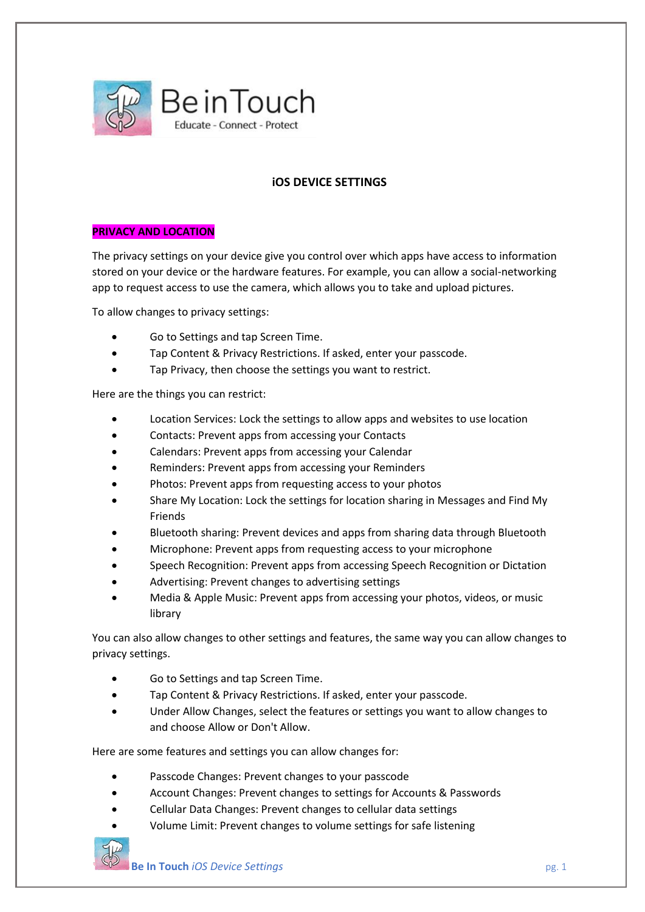

# **iOS DEVICE SETTINGS**

## **PRIVACY AND LOCATION**

The privacy settings on your device give you control over which apps have access to information stored on your device or the hardware features. For example, you can allow a social-networking app to request access to use the camera, which allows you to take and upload pictures.

To allow changes to privacy settings:

- Go to Settings and tap Screen Time.
- Tap Content & Privacy Restrictions. If asked, enter your passcode.
- Tap Privacy, then choose the settings you want to restrict.

Here are the things you can restrict:

- Location Services: Lock the settings to allow apps and websites to use location
- Contacts: Prevent apps from accessing your Contacts
- Calendars: Prevent apps from accessing your Calendar
- Reminders: Prevent apps from accessing your Reminders
- Photos: Prevent apps from requesting access to your photos
- Share My Location: Lock the settings for location sharing in Messages and Find My Friends
- Bluetooth sharing: Prevent devices and apps from sharing data through Bluetooth
- Microphone: Prevent apps from requesting access to your microphone
- Speech Recognition: Prevent apps from accessing Speech Recognition or Dictation
- Advertising: Prevent changes to advertising settings
- Media & Apple Music: Prevent apps from accessing your photos, videos, or music library

You can also allow changes to other settings and features, the same way you can allow changes to privacy settings.

- Go to Settings and tap Screen Time.
- Tap Content & Privacy Restrictions. If asked, enter your passcode.
- Under Allow Changes, select the features or settings you want to allow changes to and choose Allow or Don't Allow.

Here are some features and settings you can allow changes for:

- Passcode Changes: Prevent changes to your passcode
- Account Changes: Prevent changes to settings for Accounts & Passwords
- Cellular Data Changes: Prevent changes to cellular data settings
- Volume Limit: Prevent changes to volume settings for safe listening

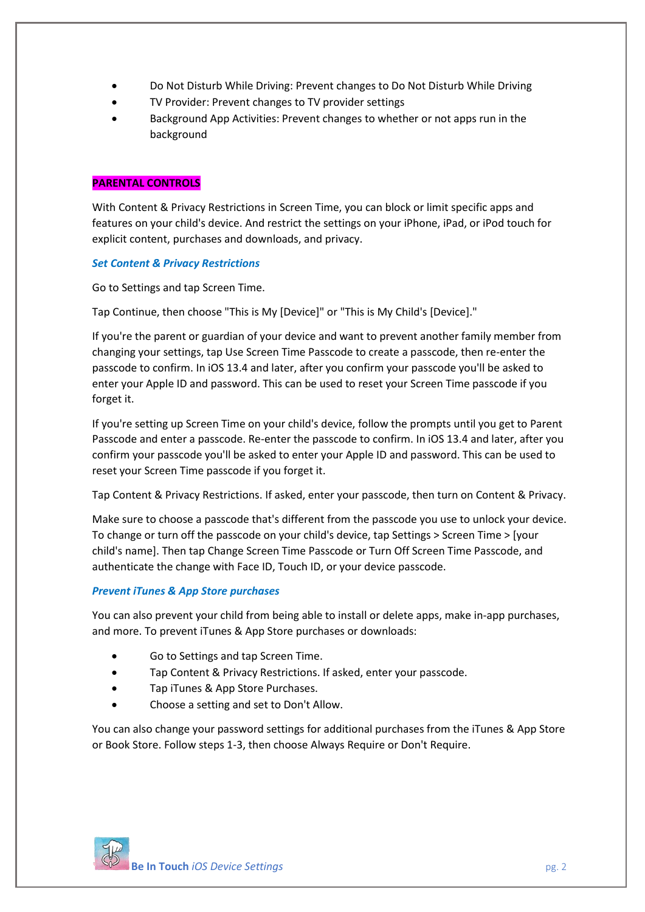- Do Not Disturb While Driving: Prevent changes to Do Not Disturb While Driving
- TV Provider: Prevent changes to TV provider settings
- Background App Activities: Prevent changes to whether or not apps run in the background

## **PARENTAL CONTROLS**

With Content & Privacy Restrictions in Screen Time, you can block or limit specific apps and features on your child's device. And restrict the settings on your iPhone, iPad, or iPod touch for explicit content, purchases and downloads, and privacy.

# *Set Content & Privacy Restrictions*

Go to Settings and tap Screen Time.

Tap Continue, then choose "This is My [Device]" or "This is My Child's [Device]."

If you're the parent or guardian of your device and want to prevent another family member from changing your settings, tap Use Screen Time Passcode to create a passcode, then re-enter the passcode to confirm. In iOS 13.4 and later, after you confirm your passcode you'll be asked to enter your Apple ID and password. This can be used to reset your Screen Time passcode if you forget it.

If you're setting up Screen Time on your child's device, follow the prompts until you get to Parent Passcode and enter a passcode. Re-enter the passcode to confirm. In iOS 13.4 and later, after you confirm your passcode you'll be asked to enter your Apple ID and password. This can be used to reset your Screen Time passcode if you forget it.

Tap Content & Privacy Restrictions. If asked, enter your passcode, then turn on Content & Privacy.

Make sure to choose a passcode that's different from the passcode you use to unlock your device. To change or turn off the passcode on your child's device, tap Settings > Screen Time > [your child's name]. Then tap Change Screen Time Passcode or Turn Off Screen Time Passcode, and authenticate the change with Face ID, Touch ID, or your device passcode.

# *Prevent iTunes & App Store purchases*

You can also prevent your child from being able to install or delete apps, make in-app purchases, and more. To prevent iTunes & App Store purchases or downloads:

- Go to Settings and tap Screen Time.
- Tap Content & Privacy Restrictions. If asked, enter your passcode.
- Tap iTunes & App Store Purchases.
- Choose a setting and set to Don't Allow.

You can also change your password settings for additional purchases from the iTunes & App Store or Book Store. Follow steps 1-3, then choose Always Require or Don't Require.

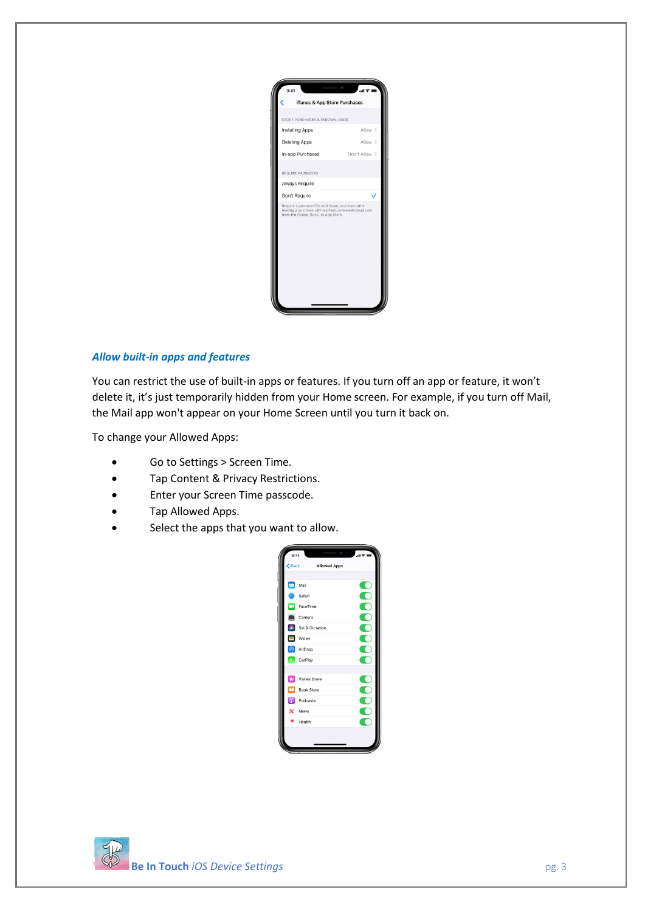

#### *Allow built-in apps and features*

You can restrict the use of built-in apps or features. If you turn off an app or feature, it won't delete it, it's just temporarily hidden from your Home screen. For example, if you turn off Mail, the Mail app won't appear on your Home Screen until you turn it back on.

To change your Allowed Apps:

- Go to Settings > Screen Time.
- Tap Content & Privacy Restrictions.
- Enter your Screen Time passcode.
- Tap Allowed Apps.
- Select the apps that you want to allow.

| 9:41                    | $\sim$              | .<br>≡ ∻ ⊪. |
|-------------------------|---------------------|-------------|
| $\zeta$ Back            | <b>Allowed Apps</b> |             |
|                         |                     |             |
| $\overline{\mathbb{Z}}$ | Mail                |             |
| ø                       | Safari              |             |
| œ                       | FaceTime            |             |
| 直                       | Camera              |             |
| $\blacktriangle$        | Siri & Dictation    |             |
| E                       | Wallet              |             |
| $\sqrt{2}$              | AirDrop             |             |
| $\bullet$               | CarPlay             |             |
|                         |                     |             |
| £                       | iTunes Store        |             |
| ◫                       | <b>Book Store</b>   |             |
| $\circledcirc$          | Podcasts            |             |
| $\bf N$                 | News                |             |
|                         | Health              |             |
|                         |                     |             |
|                         |                     |             |

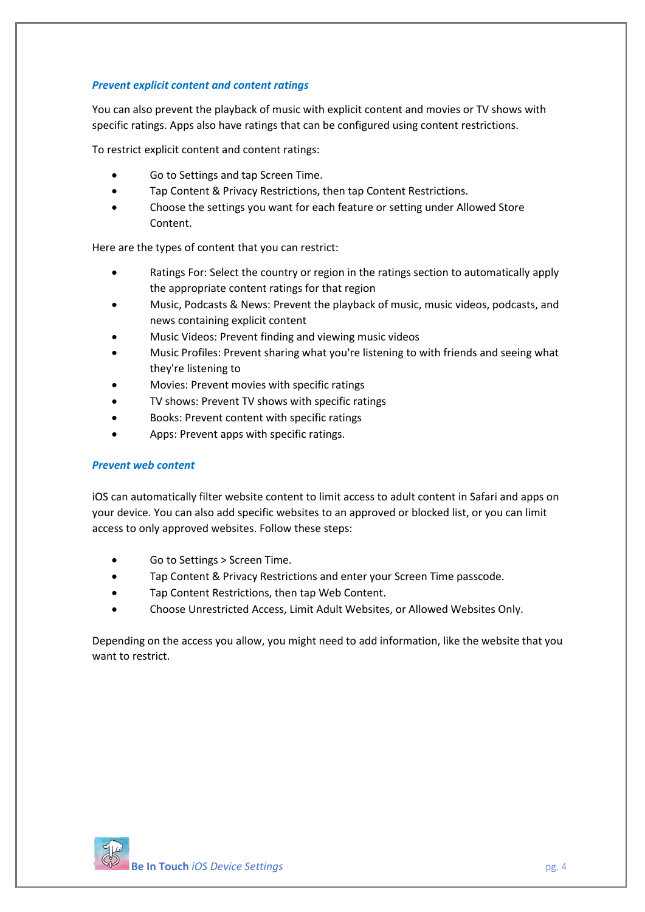### *Prevent explicit content and content ratings*

You can also prevent the playback of music with explicit content and movies or TV shows with specific ratings. Apps also have ratings that can be configured using content restrictions.

To restrict explicit content and content ratings:

- Go to Settings and tap Screen Time.
- Tap Content & Privacy Restrictions, then tap Content Restrictions.
- Choose the settings you want for each feature or setting under Allowed Store Content.

Here are the types of content that you can restrict:

- Ratings For: Select the country or region in the ratings section to automatically apply the appropriate content ratings for that region
- Music, Podcasts & News: Prevent the playback of music, music videos, podcasts, and news containing explicit content
- Music Videos: Prevent finding and viewing music videos
- Music Profiles: Prevent sharing what you're listening to with friends and seeing what they're listening to
- Movies: Prevent movies with specific ratings
- TV shows: Prevent TV shows with specific ratings
- Books: Prevent content with specific ratings
- Apps: Prevent apps with specific ratings.

#### *Prevent web content*

iOS can automatically filter website content to limit access to adult content in Safari and apps on your device. You can also add specific websites to an approved or blocked list, or you can limit access to only approved websites. Follow these steps:

- Go to Settings > Screen Time.
- Tap Content & Privacy Restrictions and enter your Screen Time passcode.
- Tap Content Restrictions, then tap Web Content.
- Choose Unrestricted Access, Limit Adult Websites, or Allowed Websites Only.

Depending on the access you allow, you might need to add information, like the website that you want to restrict.